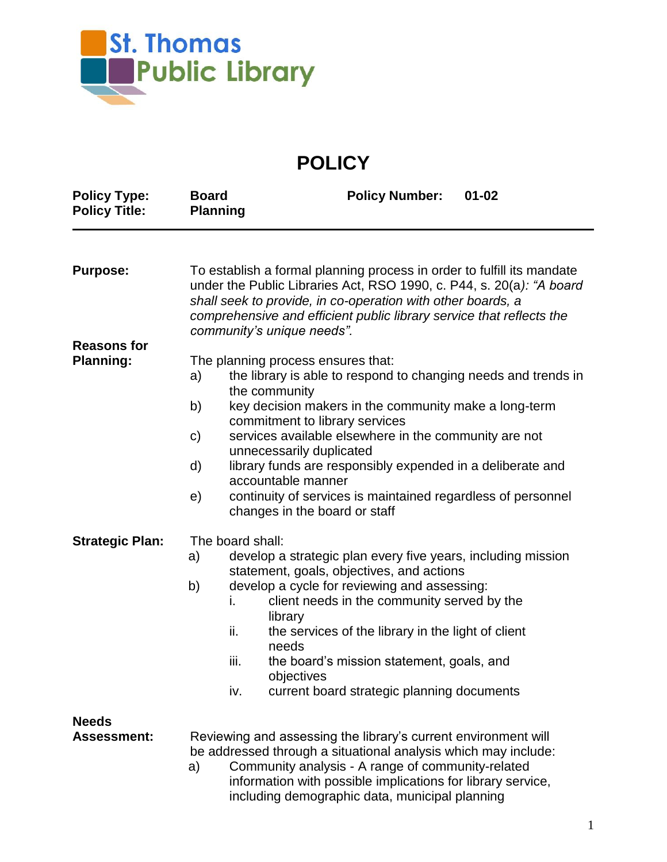

**POLICY**

| <b>Policy Type:</b><br><b>Policy Title:</b> | <b>Board</b><br><b>Planning</b>                                                                                                                                                                                                                                                                                     | <b>Policy Number:</b><br>$01 - 02$                                                                            |  |  |
|---------------------------------------------|---------------------------------------------------------------------------------------------------------------------------------------------------------------------------------------------------------------------------------------------------------------------------------------------------------------------|---------------------------------------------------------------------------------------------------------------|--|--|
|                                             |                                                                                                                                                                                                                                                                                                                     |                                                                                                               |  |  |
| <b>Purpose:</b>                             | To establish a formal planning process in order to fulfill its mandate<br>under the Public Libraries Act, RSO 1990, c. P44, s. 20(a): "A board<br>shall seek to provide, in co-operation with other boards, a<br>comprehensive and efficient public library service that reflects the<br>community's unique needs". |                                                                                                               |  |  |
| <b>Reasons for</b>                          |                                                                                                                                                                                                                                                                                                                     |                                                                                                               |  |  |
| <b>Planning:</b>                            | The planning process ensures that:                                                                                                                                                                                                                                                                                  |                                                                                                               |  |  |
|                                             | a)                                                                                                                                                                                                                                                                                                                  | the library is able to respond to changing needs and trends in                                                |  |  |
|                                             | b)                                                                                                                                                                                                                                                                                                                  | the community<br>key decision makers in the community make a long-term                                        |  |  |
|                                             |                                                                                                                                                                                                                                                                                                                     | commitment to library services                                                                                |  |  |
|                                             | C)                                                                                                                                                                                                                                                                                                                  | services available elsewhere in the community are not                                                         |  |  |
|                                             |                                                                                                                                                                                                                                                                                                                     | unnecessarily duplicated                                                                                      |  |  |
|                                             | d)                                                                                                                                                                                                                                                                                                                  | library funds are responsibly expended in a deliberate and<br>accountable manner                              |  |  |
|                                             | e)                                                                                                                                                                                                                                                                                                                  | continuity of services is maintained regardless of personnel<br>changes in the board or staff                 |  |  |
| <b>Strategic Plan:</b>                      | The board shall:                                                                                                                                                                                                                                                                                                    |                                                                                                               |  |  |
|                                             | a)                                                                                                                                                                                                                                                                                                                  | develop a strategic plan every five years, including mission                                                  |  |  |
|                                             |                                                                                                                                                                                                                                                                                                                     | statement, goals, objectives, and actions                                                                     |  |  |
|                                             | b)                                                                                                                                                                                                                                                                                                                  | develop a cycle for reviewing and assessing:                                                                  |  |  |
|                                             |                                                                                                                                                                                                                                                                                                                     | client needs in the community served by the<br>i.                                                             |  |  |
|                                             |                                                                                                                                                                                                                                                                                                                     | library<br>ii.<br>the services of the library in the light of client                                          |  |  |
|                                             |                                                                                                                                                                                                                                                                                                                     | needs                                                                                                         |  |  |
|                                             |                                                                                                                                                                                                                                                                                                                     | iii.<br>the board's mission statement, goals, and                                                             |  |  |
|                                             |                                                                                                                                                                                                                                                                                                                     | objectives                                                                                                    |  |  |
|                                             |                                                                                                                                                                                                                                                                                                                     | iv.<br>current board strategic planning documents                                                             |  |  |
| <b>Needs</b>                                |                                                                                                                                                                                                                                                                                                                     |                                                                                                               |  |  |
| <b>Assessment:</b>                          | Reviewing and assessing the library's current environment will                                                                                                                                                                                                                                                      |                                                                                                               |  |  |
|                                             | be addressed through a situational analysis which may include:                                                                                                                                                                                                                                                      |                                                                                                               |  |  |
|                                             | a)                                                                                                                                                                                                                                                                                                                  | Community analysis - A range of community-related                                                             |  |  |
|                                             |                                                                                                                                                                                                                                                                                                                     | information with possible implications for library service,<br>including demographic data, municipal planning |  |  |